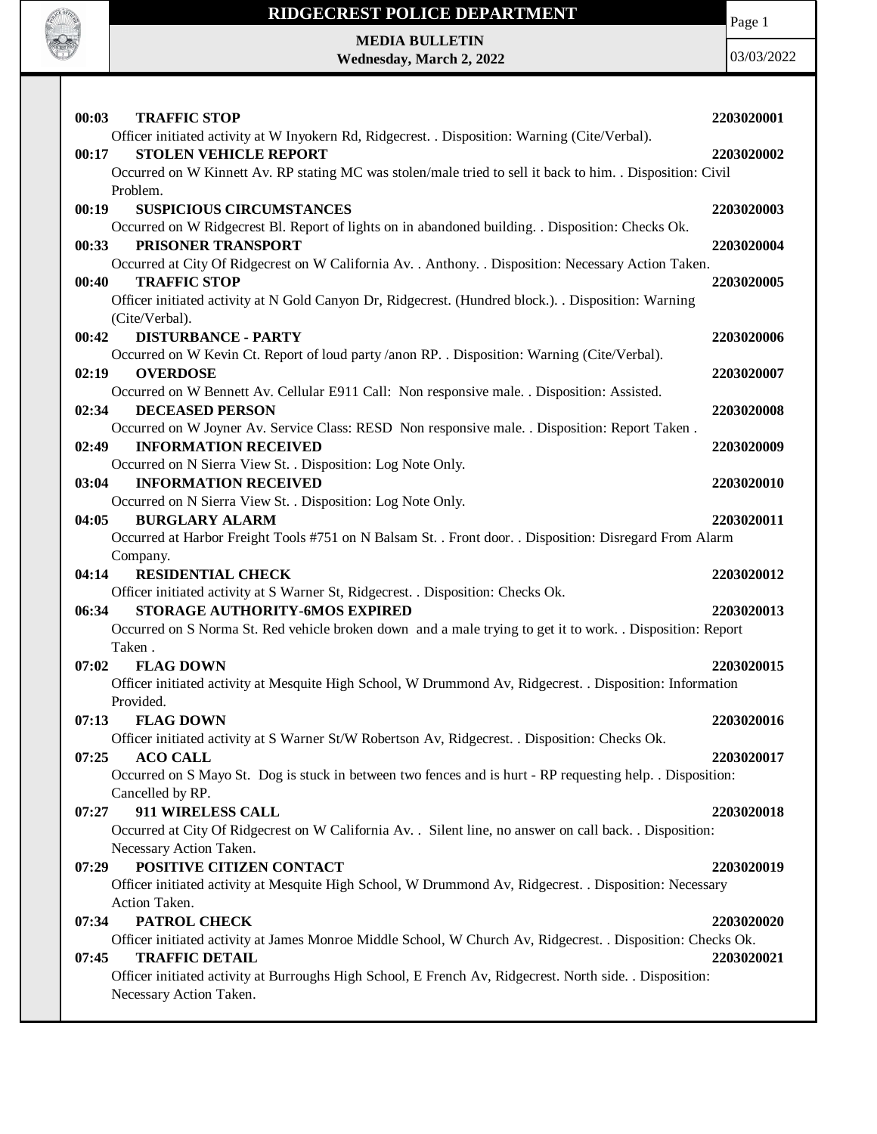

Page 1

**MEDIA BULLETIN Wednesday, March 2, 2022**

|                                                                                                                                      | 2203020001 |
|--------------------------------------------------------------------------------------------------------------------------------------|------------|
| Officer initiated activity at W Inyokern Rd, Ridgecrest. . Disposition: Warning (Cite/Verbal).                                       |            |
| <b>STOLEN VEHICLE REPORT</b><br>00:17                                                                                                | 2203020002 |
| Occurred on W Kinnett Av. RP stating MC was stolen/male tried to sell it back to him. . Disposition: Civil                           |            |
| Problem.                                                                                                                             |            |
| <b>SUSPICIOUS CIRCUMSTANCES</b><br>00:19                                                                                             | 2203020003 |
| Occurred on W Ridgecrest Bl. Report of lights on in abandoned building. . Disposition: Checks Ok.                                    |            |
| PRISONER TRANSPORT<br>00:33                                                                                                          | 2203020004 |
| Occurred at City Of Ridgecrest on W California Av. . Anthony. . Disposition: Necessary Action Taken.<br><b>TRAFFIC STOP</b><br>00:40 | 2203020005 |
| Officer initiated activity at N Gold Canyon Dr, Ridgecrest. (Hundred block.). Disposition: Warning                                   |            |
| (Cite/Verbal).                                                                                                                       |            |
| 00:42<br><b>DISTURBANCE - PARTY</b>                                                                                                  | 2203020006 |
| Occurred on W Kevin Ct. Report of loud party /anon RP. . Disposition: Warning (Cite/Verbal).                                         |            |
| 02:19<br><b>OVERDOSE</b>                                                                                                             | 2203020007 |
| Occurred on W Bennett Av. Cellular E911 Call: Non responsive male. . Disposition: Assisted.                                          |            |
| 02:34<br><b>DECEASED PERSON</b>                                                                                                      | 2203020008 |
| Occurred on W Joyner Av. Service Class: RESD Non responsive male. . Disposition: Report Taken.                                       |            |
| <b>INFORMATION RECEIVED</b><br>02:49                                                                                                 | 2203020009 |
| Occurred on N Sierra View St. . Disposition: Log Note Only.                                                                          |            |
| <b>INFORMATION RECEIVED</b><br>03:04                                                                                                 | 2203020010 |
| Occurred on N Sierra View St. . Disposition: Log Note Only.                                                                          |            |
| 04:05<br><b>BURGLARY ALARM</b>                                                                                                       | 2203020011 |
| Occurred at Harbor Freight Tools #751 on N Balsam St. . Front door. . Disposition: Disregard From Alarm                              |            |
| Company.                                                                                                                             |            |
| <b>RESIDENTIAL CHECK</b><br>04:14                                                                                                    | 2203020012 |
| Officer initiated activity at S Warner St, Ridgecrest. . Disposition: Checks Ok.                                                     |            |
| <b>STORAGE AUTHORITY-6MOS EXPIRED</b><br>06:34                                                                                       |            |
|                                                                                                                                      | 2203020013 |
| Occurred on S Norma St. Red vehicle broken down and a male trying to get it to work. . Disposition: Report                           |            |
| Taken.                                                                                                                               |            |
| 07:02<br><b>FLAG DOWN</b>                                                                                                            | 2203020015 |
| Officer initiated activity at Mesquite High School, W Drummond Av, Ridgecrest. . Disposition: Information                            |            |
| Provided.                                                                                                                            |            |
| <b>FLAG DOWN</b><br>07:13                                                                                                            | 2203020016 |
| Officer initiated activity at S Warner St/W Robertson Av, Ridgecrest. . Disposition: Checks Ok.                                      |            |
| <b>ACO CALL</b><br>07:25                                                                                                             | 2203020017 |
| Occurred on S Mayo St. Dog is stuck in between two fences and is hurt - RP requesting help. . Disposition:                           |            |
| Cancelled by RP.                                                                                                                     |            |
| 07:27<br>911 WIRELESS CALL                                                                                                           | 2203020018 |
| Occurred at City Of Ridgecrest on W California Av. . Silent line, no answer on call back. . Disposition:                             |            |
| Necessary Action Taken.                                                                                                              |            |
| POSITIVE CITIZEN CONTACT<br>07:29                                                                                                    | 2203020019 |
| Officer initiated activity at Mesquite High School, W Drummond Av, Ridgecrest. . Disposition: Necessary                              |            |
| Action Taken.                                                                                                                        |            |
| 07:34<br>PATROL CHECK                                                                                                                | 2203020020 |
| Officer initiated activity at James Monroe Middle School, W Church Av, Ridgecrest. . Disposition: Checks Ok.                         |            |
| <b>TRAFFIC DETAIL</b><br>07:45                                                                                                       | 2203020021 |
| Officer initiated activity at Burroughs High School, E French Av, Ridgecrest. North side. . Disposition:                             |            |
| Necessary Action Taken.                                                                                                              |            |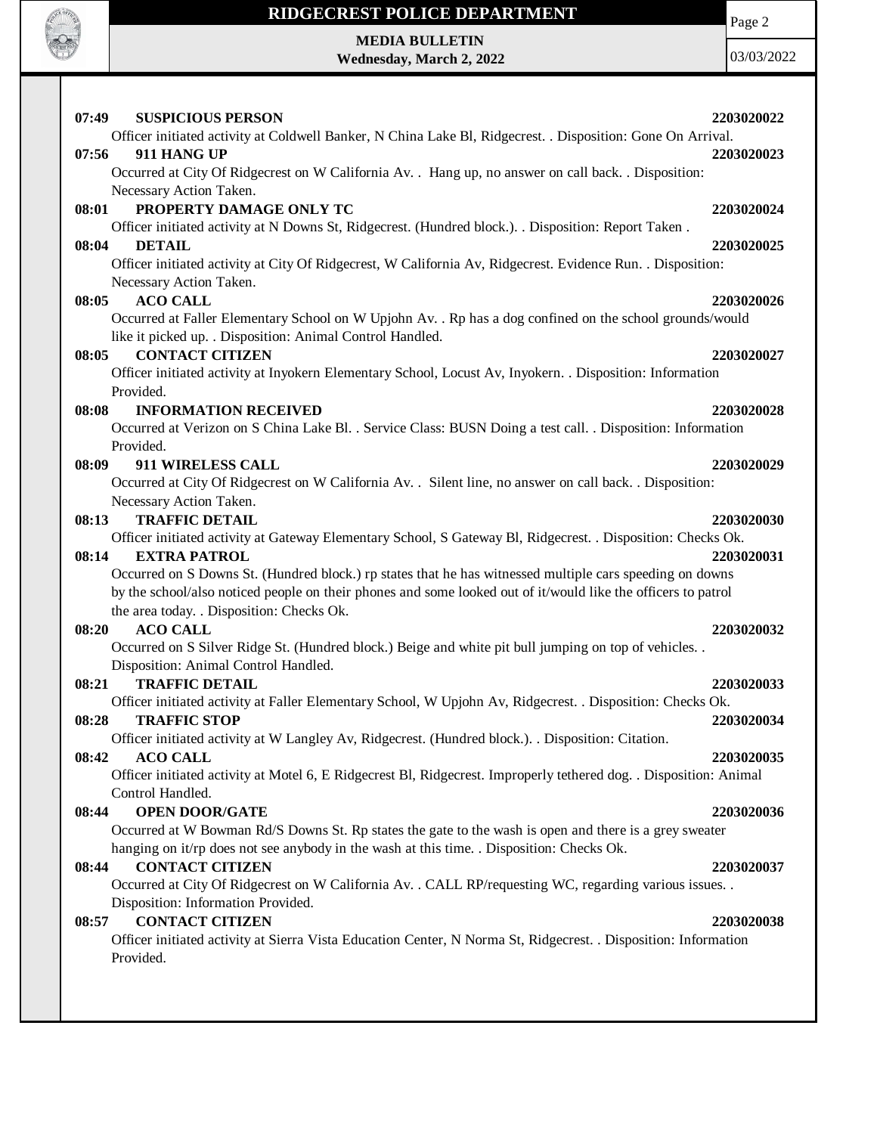

**MEDIA BULLETIN Wednesday, March 2, 2022** Page 2

| 07:49 | <b>SUSPICIOUS PERSON</b>                                                                                           | 2203020022 |
|-------|--------------------------------------------------------------------------------------------------------------------|------------|
|       | Officer initiated activity at Coldwell Banker, N China Lake Bl, Ridgecrest. . Disposition: Gone On Arrival.        |            |
| 07:56 | 911 HANG UP                                                                                                        | 2203020023 |
|       | Occurred at City Of Ridgecrest on W California Av. . Hang up, no answer on call back. . Disposition:               |            |
|       | Necessary Action Taken.                                                                                            |            |
| 08:01 | PROPERTY DAMAGE ONLY TC                                                                                            | 2203020024 |
|       | Officer initiated activity at N Downs St, Ridgecrest. (Hundred block.). . Disposition: Report Taken.               |            |
| 08:04 | <b>DETAIL</b>                                                                                                      | 2203020025 |
|       | Officer initiated activity at City Of Ridgecrest, W California Av, Ridgecrest. Evidence Run. . Disposition:        |            |
|       | Necessary Action Taken.                                                                                            |            |
| 08:05 | <b>ACO CALL</b>                                                                                                    | 2203020026 |
|       | Occurred at Faller Elementary School on W Upjohn Av. . Rp has a dog confined on the school grounds/would           |            |
|       | like it picked up. . Disposition: Animal Control Handled.                                                          |            |
| 08:05 | <b>CONTACT CITIZEN</b>                                                                                             | 2203020027 |
|       | Officer initiated activity at Inyokern Elementary School, Locust Av, Inyokern. . Disposition: Information          |            |
|       | Provided.                                                                                                          |            |
| 08:08 | <b>INFORMATION RECEIVED</b>                                                                                        | 2203020028 |
|       | Occurred at Verizon on S China Lake Bl. . Service Class: BUSN Doing a test call. . Disposition: Information        |            |
|       | Provided.                                                                                                          |            |
| 08:09 | 911 WIRELESS CALL                                                                                                  | 2203020029 |
|       | Occurred at City Of Ridgecrest on W California Av. . Silent line, no answer on call back. . Disposition:           |            |
|       | Necessary Action Taken.                                                                                            |            |
| 08:13 | <b>TRAFFIC DETAIL</b>                                                                                              | 2203020030 |
|       | Officer initiated activity at Gateway Elementary School, S Gateway Bl, Ridgecrest. . Disposition: Checks Ok.       |            |
| 08:14 | <b>EXTRA PATROL</b>                                                                                                | 2203020031 |
|       | Occurred on S Downs St. (Hundred block.) rp states that he has witnessed multiple cars speeding on downs           |            |
|       | by the school/also noticed people on their phones and some looked out of it/would like the officers to patrol      |            |
|       | the area today. . Disposition: Checks Ok.                                                                          |            |
| 08:20 | <b>ACO CALL</b>                                                                                                    | 2203020032 |
|       | Occurred on S Silver Ridge St. (Hundred block.) Beige and white pit bull jumping on top of vehicles. .             |            |
|       | Disposition: Animal Control Handled.                                                                               |            |
| 08:21 | <b>TRAFFIC DETAIL</b>                                                                                              | 2203020033 |
|       | Officer initiated activity at Faller Elementary School, W Upjohn Av, Ridgecrest. . Disposition: Checks Ok.         |            |
| 08:28 | <b>TRAFFIC STOP</b>                                                                                                | 2203020034 |
|       | Officer initiated activity at W Langley Av, Ridgecrest. (Hundred block.). . Disposition: Citation.                 |            |
| 08:42 | <b>ACO CALL</b>                                                                                                    | 2203020035 |
|       | Officer initiated activity at Motel 6, E Ridgecrest Bl, Ridgecrest. Improperly tethered dog. . Disposition: Animal |            |
|       | Control Handled.<br><b>OPEN DOOR/GATE</b>                                                                          |            |
| 08:44 | Occurred at W Bowman Rd/S Downs St. Rp states the gate to the wash is open and there is a grey sweater             | 2203020036 |
|       | hanging on it/rp does not see anybody in the wash at this time. Disposition: Checks Ok.                            |            |
|       |                                                                                                                    |            |
| 08:44 | <b>CONTACT CITIZEN</b>                                                                                             | 2203020037 |
|       | Occurred at City Of Ridgecrest on W California Av. . CALL RP/requesting WC, regarding various issues. .            |            |
| 08:57 | Disposition: Information Provided.<br><b>CONTACT CITIZEN</b>                                                       | 2203020038 |
|       | Officer initiated activity at Sierra Vista Education Center, N Norma St, Ridgecrest. . Disposition: Information    |            |
|       | Provided.                                                                                                          |            |
|       |                                                                                                                    |            |
|       |                                                                                                                    |            |
|       |                                                                                                                    |            |
|       |                                                                                                                    |            |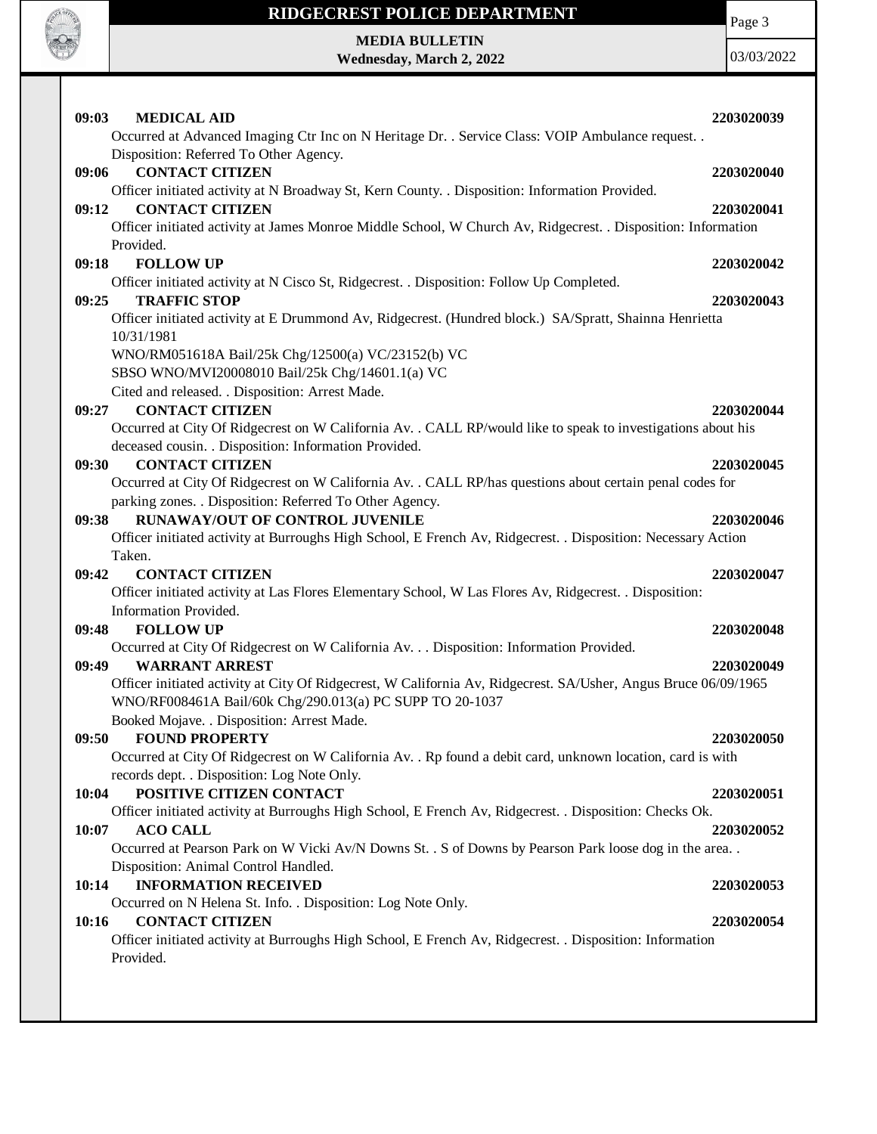

**MEDIA BULLETIN Wednesday, March 2, 2022** Page 3

| 09:03<br><b>MEDICAL AID</b><br>Occurred at Advanced Imaging Ctr Inc on N Heritage Dr. . Service Class: VOIP Ambulance request. .            | 2203020039 |
|---------------------------------------------------------------------------------------------------------------------------------------------|------------|
| Disposition: Referred To Other Agency.                                                                                                      |            |
| <b>CONTACT CITIZEN</b><br>09:06<br>Officer initiated activity at N Broadway St, Kern County. . Disposition: Information Provided.           | 2203020040 |
| <b>CONTACT CITIZEN</b><br>09:12                                                                                                             | 2203020041 |
| Officer initiated activity at James Monroe Middle School, W Church Av, Ridgecrest. . Disposition: Information                               |            |
| Provided.                                                                                                                                   |            |
| 09:18<br><b>FOLLOW UP</b>                                                                                                                   | 2203020042 |
| Officer initiated activity at N Cisco St, Ridgecrest. . Disposition: Follow Up Completed.                                                   |            |
| <b>TRAFFIC STOP</b><br>09:25                                                                                                                | 2203020043 |
| Officer initiated activity at E Drummond Av, Ridgecrest. (Hundred block.) SA/Spratt, Shainna Henrietta                                      |            |
| 10/31/1981                                                                                                                                  |            |
| WNO/RM051618A Bail/25k Chg/12500(a) VC/23152(b) VC                                                                                          |            |
| SBSO WNO/MVI20008010 Bail/25k Chg/14601.1(a) VC                                                                                             |            |
| Cited and released. . Disposition: Arrest Made.                                                                                             |            |
| <b>CONTACT CITIZEN</b><br>09:27                                                                                                             | 2203020044 |
| Occurred at City Of Ridgecrest on W California Av. . CALL RP/would like to speak to investigations about his                                |            |
| deceased cousin. . Disposition: Information Provided.                                                                                       |            |
| <b>CONTACT CITIZEN</b><br>09:30                                                                                                             | 2203020045 |
| Occurred at City Of Ridgecrest on W California Av. . CALL RP/has questions about certain penal codes for                                    |            |
| parking zones. . Disposition: Referred To Other Agency.                                                                                     |            |
| <b>RUNAWAY/OUT OF CONTROL JUVENILE</b><br>09:38                                                                                             | 2203020046 |
| Officer initiated activity at Burroughs High School, E French Av, Ridgecrest. . Disposition: Necessary Action                               |            |
| Taken.<br>09:42<br><b>CONTACT CITIZEN</b>                                                                                                   | 2203020047 |
| Officer initiated activity at Las Flores Elementary School, W Las Flores Av, Ridgecrest. . Disposition:                                     |            |
| Information Provided.                                                                                                                       |            |
| 09:48<br><b>FOLLOW UP</b>                                                                                                                   | 2203020048 |
| Occurred at City Of Ridgecrest on W California Av. Disposition: Information Provided.                                                       |            |
| <b>WARRANT ARREST</b><br>09:49                                                                                                              | 2203020049 |
| Officer initiated activity at City Of Ridgecrest, W California Av, Ridgecrest. SA/Usher, Angus Bruce 06/09/1965                             |            |
| WNO/RF008461A Bail/60k Chg/290.013(a) PC SUPP TO 20-1037                                                                                    |            |
| Booked Mojave. . Disposition: Arrest Made.                                                                                                  |            |
| 09:50<br><b>FOUND PROPERTY</b>                                                                                                              | 2203020050 |
| Occurred at City Of Ridgecrest on W California Av. . Rp found a debit card, unknown location, card is with                                  |            |
| records dept. . Disposition: Log Note Only.                                                                                                 |            |
| POSITIVE CITIZEN CONTACT<br>10:04                                                                                                           | 2203020051 |
| Officer initiated activity at Burroughs High School, E French Av, Ridgecrest. . Disposition: Checks Ok.                                     |            |
| <b>ACO CALL</b><br>10:07                                                                                                                    | 2203020052 |
| Occurred at Pearson Park on W Vicki Av/N Downs St. . S of Downs by Pearson Park loose dog in the area                                       |            |
| Disposition: Animal Control Handled.                                                                                                        |            |
| <b>INFORMATION RECEIVED</b><br>10:14                                                                                                        | 2203020053 |
| Occurred on N Helena St. Info. . Disposition: Log Note Only.                                                                                |            |
| <b>CONTACT CITIZEN</b><br>10:16<br>Officer initiated activity at Burroughs High School, E French Av, Ridgecrest. . Disposition: Information | 2203020054 |
|                                                                                                                                             |            |
|                                                                                                                                             |            |
| Provided.                                                                                                                                   |            |
|                                                                                                                                             |            |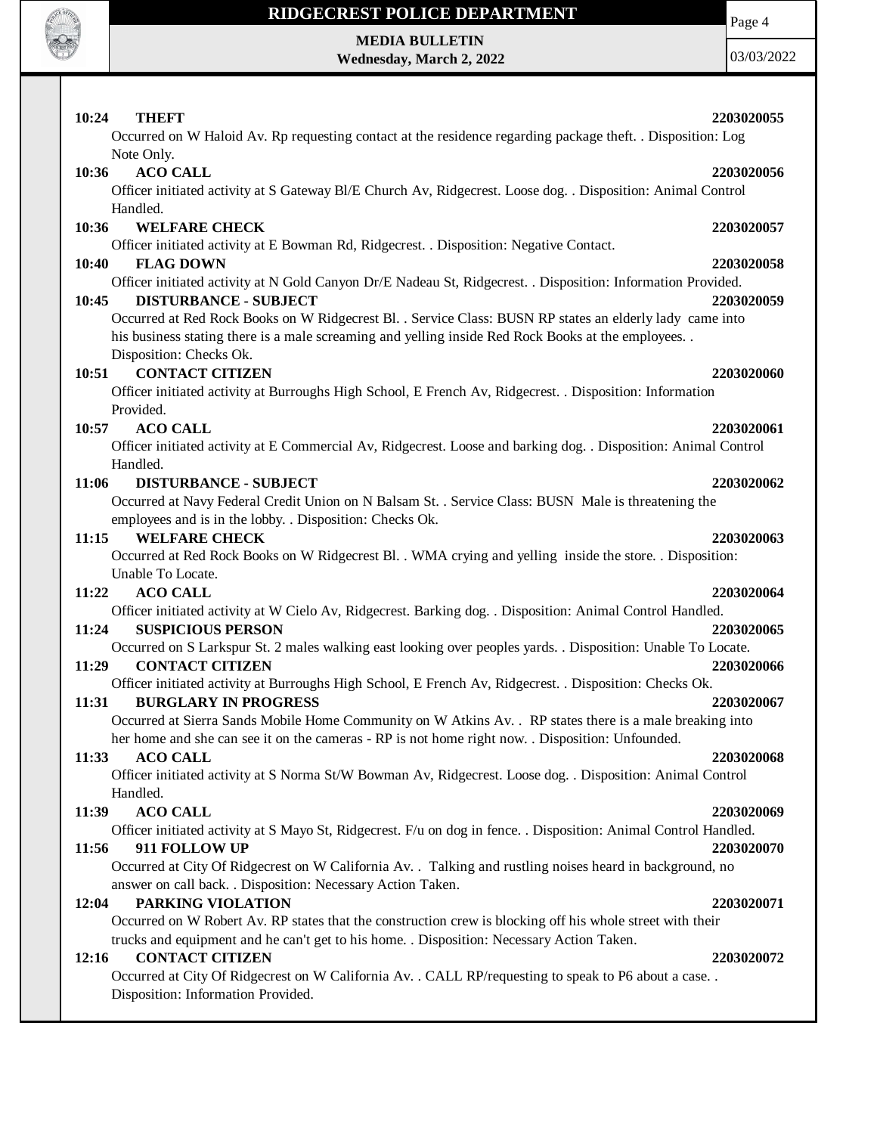

# **MEDIA BULLETIN**

**Wednesday, March 2, 2022**

Page 4

| 10:24<br><b>THEFT</b>                                                                                                                          |            |
|------------------------------------------------------------------------------------------------------------------------------------------------|------------|
|                                                                                                                                                | 2203020055 |
| Occurred on W Haloid Av. Rp requesting contact at the residence regarding package theft. . Disposition: Log                                    |            |
| Note Only.                                                                                                                                     |            |
| <b>ACO CALL</b><br>10:36                                                                                                                       | 2203020056 |
| Officer initiated activity at S Gateway Bl/E Church Av, Ridgecrest. Loose dog. . Disposition: Animal Control                                   |            |
| Handled.                                                                                                                                       |            |
| <b>WELFARE CHECK</b><br>10:36                                                                                                                  | 2203020057 |
| Officer initiated activity at E Bowman Rd, Ridgecrest. . Disposition: Negative Contact.                                                        |            |
| <b>FLAG DOWN</b><br>10:40                                                                                                                      | 2203020058 |
| Officer initiated activity at N Gold Canyon Dr/E Nadeau St, Ridgecrest. . Disposition: Information Provided.                                   |            |
| <b>DISTURBANCE - SUBJECT</b><br>10:45                                                                                                          | 2203020059 |
| Occurred at Red Rock Books on W Ridgecrest Bl. . Service Class: BUSN RP states an elderly lady came into                                       |            |
| his business stating there is a male screaming and yelling inside Red Rock Books at the employees. .                                           |            |
| Disposition: Checks Ok.                                                                                                                        |            |
| <b>CONTACT CITIZEN</b><br>10:51                                                                                                                | 2203020060 |
| Officer initiated activity at Burroughs High School, E French Av, Ridgecrest. . Disposition: Information                                       |            |
| Provided.                                                                                                                                      |            |
|                                                                                                                                                |            |
| <b>ACO CALL</b><br>10:57                                                                                                                       | 2203020061 |
| Officer initiated activity at E Commercial Av, Ridgecrest. Loose and barking dog. . Disposition: Animal Control                                |            |
| Handled.                                                                                                                                       |            |
| <b>DISTURBANCE - SUBJECT</b><br>11:06                                                                                                          | 2203020062 |
| Occurred at Navy Federal Credit Union on N Balsam St. . Service Class: BUSN Male is threatening the                                            |            |
| employees and is in the lobby. . Disposition: Checks Ok.                                                                                       |            |
| <b>WELFARE CHECK</b><br>11:15                                                                                                                  | 2203020063 |
| Occurred at Red Rock Books on W Ridgecrest Bl. . WMA crying and yelling inside the store. . Disposition:                                       |            |
| Unable To Locate.                                                                                                                              |            |
| <b>ACO CALL</b><br>11:22                                                                                                                       |            |
|                                                                                                                                                | 2203020064 |
|                                                                                                                                                |            |
| Officer initiated activity at W Cielo Av, Ridgecrest. Barking dog. . Disposition: Animal Control Handled.<br>11:24<br><b>SUSPICIOUS PERSON</b> | 2203020065 |
|                                                                                                                                                |            |
| Occurred on S Larkspur St. 2 males walking east looking over peoples yards. . Disposition: Unable To Locate.                                   |            |
| <b>CONTACT CITIZEN</b><br>11:29                                                                                                                | 2203020066 |
| Officer initiated activity at Burroughs High School, E French Av, Ridgecrest. . Disposition: Checks Ok.                                        |            |
| <b>BURGLARY IN PROGRESS</b><br>11:31                                                                                                           | 2203020067 |
| Occurred at Sierra Sands Mobile Home Community on W Atkins Av. . RP states there is a male breaking into                                       |            |
| her home and she can see it on the cameras - RP is not home right now. Disposition: Unfounded.                                                 |            |
| <b>ACO CALL</b><br>11:33                                                                                                                       | 2203020068 |
| Officer initiated activity at S Norma St/W Bowman Av, Ridgecrest. Loose dog. . Disposition: Animal Control                                     |            |
| Handled.                                                                                                                                       |            |
| 11:39<br><b>ACO CALL</b>                                                                                                                       | 2203020069 |
| Officer initiated activity at S Mayo St, Ridgecrest. F/u on dog in fence. . Disposition: Animal Control Handled.                               |            |
| 11:56<br>911 FOLLOW UP                                                                                                                         | 2203020070 |
| Occurred at City Of Ridgecrest on W California Av. . Talking and rustling noises heard in background, no                                       |            |
| answer on call back. . Disposition: Necessary Action Taken.                                                                                    |            |
| PARKING VIOLATION<br>12:04                                                                                                                     | 2203020071 |
| Occurred on W Robert Av. RP states that the construction crew is blocking off his whole street with their                                      |            |
| trucks and equipment and he can't get to his home. . Disposition: Necessary Action Taken.                                                      |            |
| <b>CONTACT CITIZEN</b><br>12:16                                                                                                                | 2203020072 |
| Occurred at City Of Ridgecrest on W California Av. . CALL RP/requesting to speak to P6 about a case. .                                         |            |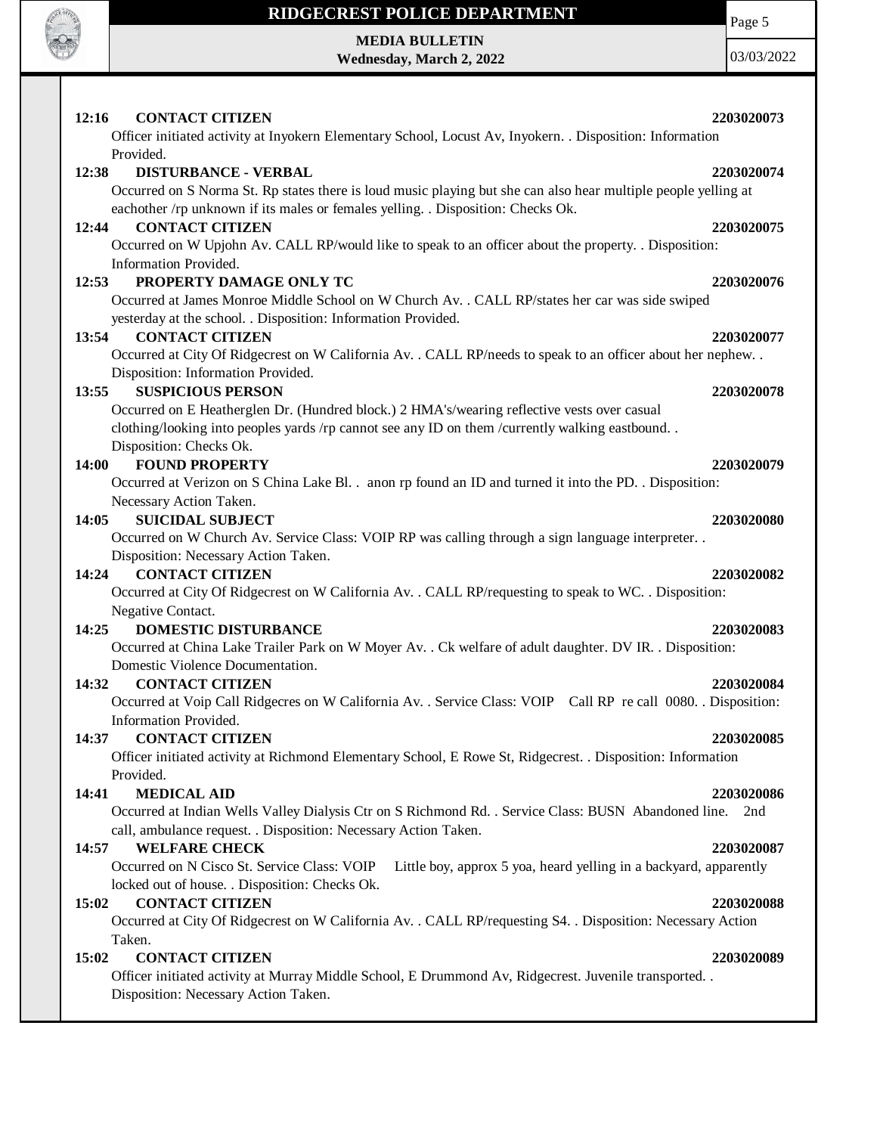

**MEDIA BULLETIN Wednesday, March 2, 2022** Page 5

| 12:16<br><b>CONTACT CITIZEN</b><br>2203020073<br>Officer initiated activity at Inyokern Elementary School, Locust Av, Inyokern. . Disposition: Information                                         |  |
|----------------------------------------------------------------------------------------------------------------------------------------------------------------------------------------------------|--|
| Provided.                                                                                                                                                                                          |  |
| <b>DISTURBANCE - VERBAL</b><br>2203020074<br>12:38                                                                                                                                                 |  |
| Occurred on S Norma St. Rp states there is loud music playing but she can also hear multiple people yelling at<br>eachother /rp unknown if its males or females yelling. . Disposition: Checks Ok. |  |
| <b>CONTACT CITIZEN</b><br>12:44<br>2203020075                                                                                                                                                      |  |
| Occurred on W Upjohn Av. CALL RP/would like to speak to an officer about the property. . Disposition:                                                                                              |  |
| Information Provided.                                                                                                                                                                              |  |
| PROPERTY DAMAGE ONLY TC<br>12:53<br>2203020076                                                                                                                                                     |  |
| Occurred at James Monroe Middle School on W Church Av. . CALL RP/states her car was side swiped<br>yesterday at the school. . Disposition: Information Provided.                                   |  |
| 13:54<br><b>CONTACT CITIZEN</b><br>2203020077                                                                                                                                                      |  |
| Occurred at City Of Ridgecrest on W California Av. . CALL RP/needs to speak to an officer about her nephew. .                                                                                      |  |
| Disposition: Information Provided.                                                                                                                                                                 |  |
| <b>SUSPICIOUS PERSON</b><br>13:55<br>2203020078                                                                                                                                                    |  |
| Occurred on E Heatherglen Dr. (Hundred block.) 2 HMA's/wearing reflective vests over casual                                                                                                        |  |
| clothing/looking into peoples yards /rp cannot see any ID on them /currently walking eastbound<br>Disposition: Checks Ok.                                                                          |  |
| <b>FOUND PROPERTY</b><br>2203020079<br>14:00                                                                                                                                                       |  |
| Occurred at Verizon on S China Lake Bl. . anon rp found an ID and turned it into the PD. . Disposition:                                                                                            |  |
| Necessary Action Taken.                                                                                                                                                                            |  |
| <b>SUICIDAL SUBJECT</b><br>14:05<br>2203020080                                                                                                                                                     |  |
| Occurred on W Church Av. Service Class: VOIP RP was calling through a sign language interpreter                                                                                                    |  |
| Disposition: Necessary Action Taken.                                                                                                                                                               |  |
| <b>CONTACT CITIZEN</b><br>14:24<br>2203020082                                                                                                                                                      |  |
| Occurred at City Of Ridgecrest on W California Av. . CALL RP/requesting to speak to WC. . Disposition:                                                                                             |  |
| Negative Contact.                                                                                                                                                                                  |  |
| 14:25<br><b>DOMESTIC DISTURBANCE</b><br>2203020083                                                                                                                                                 |  |
| Occurred at China Lake Trailer Park on W Moyer Av. . Ck welfare of adult daughter. DV IR. . Disposition:<br>Domestic Violence Documentation.                                                       |  |
| <b>CONTACT CITIZEN</b><br>14:32<br>2203020084                                                                                                                                                      |  |
| Occurred at Voip Call Ridgecres on W California Av. . Service Class: VOIP Call RP re call 0080. . Disposition:<br>Information Provided.                                                            |  |
| 14:37<br><b>CONTACT CITIZEN</b><br>2203020085                                                                                                                                                      |  |
| Officer initiated activity at Richmond Elementary School, E Rowe St, Ridgecrest. . Disposition: Information                                                                                        |  |
| Provided.                                                                                                                                                                                          |  |
| <b>MEDICAL AID</b><br>14:41<br>2203020086                                                                                                                                                          |  |
| Occurred at Indian Wells Valley Dialysis Ctr on S Richmond Rd. . Service Class: BUSN Abandoned line.<br>2nd                                                                                        |  |
| call, ambulance request. . Disposition: Necessary Action Taken.                                                                                                                                    |  |
| <b>WELFARE CHECK</b><br>14:57<br>2203020087                                                                                                                                                        |  |
| Occurred on N Cisco St. Service Class: VOIP<br>Little boy, approx 5 yoa, heard yelling in a backyard, apparently                                                                                   |  |
| locked out of house. . Disposition: Checks Ok.                                                                                                                                                     |  |
| <b>CONTACT CITIZEN</b><br>2203020088<br>15:02                                                                                                                                                      |  |
| Occurred at City Of Ridgecrest on W California Av. . CALL RP/requesting S4. . Disposition: Necessary Action                                                                                        |  |
| Taken.                                                                                                                                                                                             |  |
| 15:02<br><b>CONTACT CITIZEN</b><br>2203020089                                                                                                                                                      |  |
| Officer initiated activity at Murray Middle School, E Drummond Av, Ridgecrest. Juvenile transported. .<br>Disposition: Necessary Action Taken.                                                     |  |
|                                                                                                                                                                                                    |  |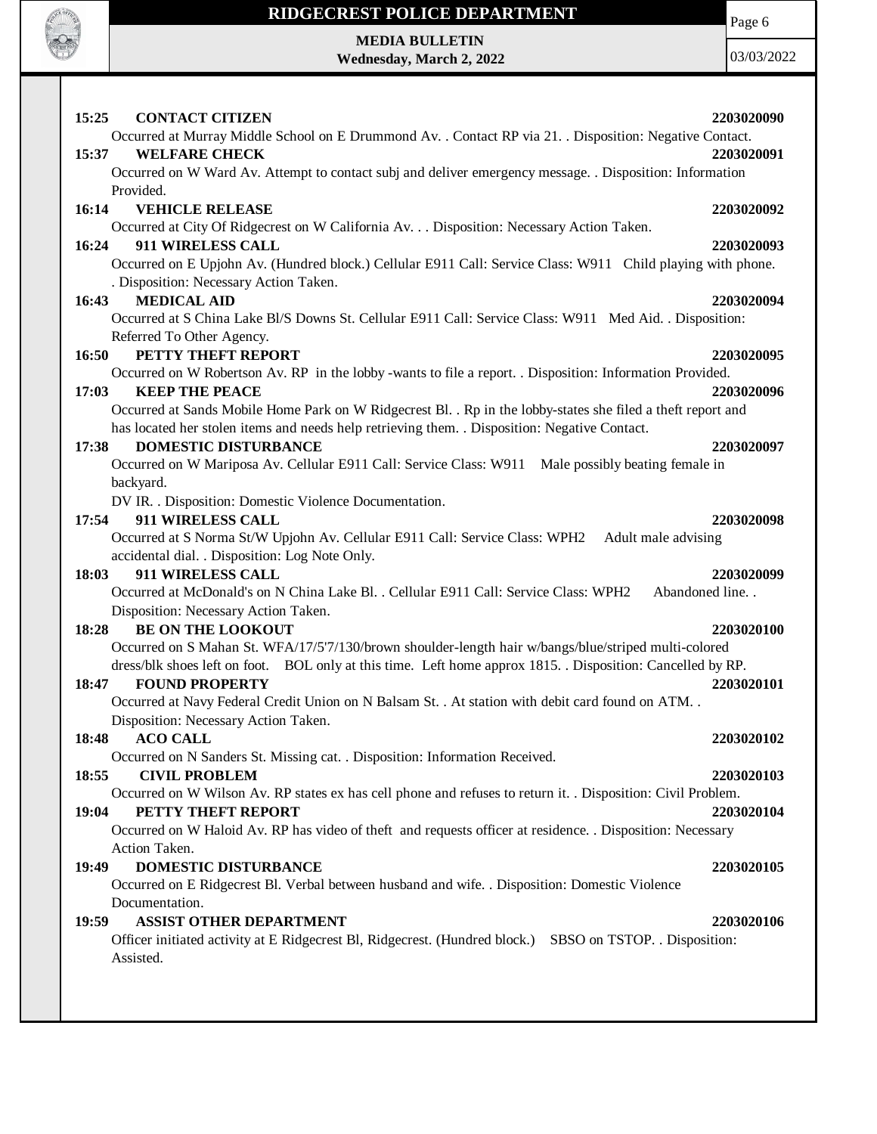

Page 6

**MEDIA BULLETIN Wednesday, March 2, 2022**

| 15:25<br><b>CONTACT CITIZEN</b><br>2203020090                                                                                                         |
|-------------------------------------------------------------------------------------------------------------------------------------------------------|
| Occurred at Murray Middle School on E Drummond Av. . Contact RP via 21. . Disposition: Negative Contact.                                              |
| <b>WELFARE CHECK</b><br>15:37<br>2203020091                                                                                                           |
| Occurred on W Ward Av. Attempt to contact subj and deliver emergency message. . Disposition: Information                                              |
| Provided.                                                                                                                                             |
| 16:14<br><b>VEHICLE RELEASE</b><br>2203020092                                                                                                         |
| Occurred at City Of Ridgecrest on W California Av. Disposition: Necessary Action Taken.                                                               |
| 911 WIRELESS CALL<br>16:24<br>2203020093                                                                                                              |
| Occurred on E Upjohn Av. (Hundred block.) Cellular E911 Call: Service Class: W911 Child playing with phone.<br>. Disposition: Necessary Action Taken. |
| <b>MEDICAL AID</b><br>16:43<br>2203020094                                                                                                             |
| Occurred at S China Lake Bl/S Downs St. Cellular E911 Call: Service Class: W911 Med Aid. . Disposition:                                               |
| Referred To Other Agency.                                                                                                                             |
| PETTY THEFT REPORT<br>16:50<br>2203020095                                                                                                             |
| Occurred on W Robertson Av. RP in the lobby -wants to file a report. . Disposition: Information Provided.                                             |
| 17:03<br><b>KEEP THE PEACE</b><br>2203020096                                                                                                          |
| Occurred at Sands Mobile Home Park on W Ridgecrest Bl. . Rp in the lobby-states she filed a theft report and                                          |
| has located her stolen items and needs help retrieving them. . Disposition: Negative Contact.                                                         |
| <b>DOMESTIC DISTURBANCE</b><br>17:38<br>2203020097                                                                                                    |
| Occurred on W Mariposa Av. Cellular E911 Call: Service Class: W911 Male possibly beating female in                                                    |
|                                                                                                                                                       |
| backyard.                                                                                                                                             |
| DV IR. . Disposition: Domestic Violence Documentation.                                                                                                |
| 17:54<br>911 WIRELESS CALL<br>2203020098                                                                                                              |
| Occurred at S Norma St/W Upjohn Av. Cellular E911 Call: Service Class: WPH2<br>Adult male advising                                                    |
| accidental dial. . Disposition: Log Note Only.<br>911 WIRELESS CALL<br>2203020099<br>18:03                                                            |
|                                                                                                                                                       |
|                                                                                                                                                       |
| Occurred at McDonald's on N China Lake Bl. . Cellular E911 Call: Service Class: WPH2<br>Abandoned line. .                                             |
| Disposition: Necessary Action Taken.                                                                                                                  |
| <b>BE ON THE LOOKOUT</b><br>18:28<br>2203020100                                                                                                       |
| Occurred on S Mahan St. WFA/17/5'7/130/brown shoulder-length hair w/bangs/blue/striped multi-colored                                                  |
| dress/blk shoes left on foot. BOL only at this time. Left home approx 1815. Disposition: Cancelled by RP.                                             |
| 18:47<br><b>FOUND PROPERTY</b><br>2203020101                                                                                                          |
| Occurred at Navy Federal Credit Union on N Balsam St. . At station with debit card found on ATM. .                                                    |
| Disposition: Necessary Action Taken.                                                                                                                  |
| 18:48<br><b>ACO CALL</b><br>2203020102                                                                                                                |
| Occurred on N Sanders St. Missing cat. . Disposition: Information Received.                                                                           |
| <b>CIVIL PROBLEM</b><br>18:55<br>2203020103                                                                                                           |
| Occurred on W Wilson Av. RP states ex has cell phone and refuses to return it. . Disposition: Civil Problem.                                          |
| PETTY THEFT REPORT<br>2203020104<br>19:04                                                                                                             |
| Occurred on W Haloid Av. RP has video of theft and requests officer at residence. . Disposition: Necessary                                            |
| Action Taken.                                                                                                                                         |
| DOMESTIC DISTURBANCE<br>19:49<br>2203020105                                                                                                           |
| Occurred on E Ridgecrest Bl. Verbal between husband and wife. . Disposition: Domestic Violence                                                        |
| Documentation.                                                                                                                                        |
| <b>ASSIST OTHER DEPARTMENT</b><br>19:59<br>2203020106                                                                                                 |
| Officer initiated activity at E Ridgecrest Bl, Ridgecrest. (Hundred block.)<br>SBSO on TSTOP. . Disposition:                                          |
| Assisted.                                                                                                                                             |
|                                                                                                                                                       |
|                                                                                                                                                       |